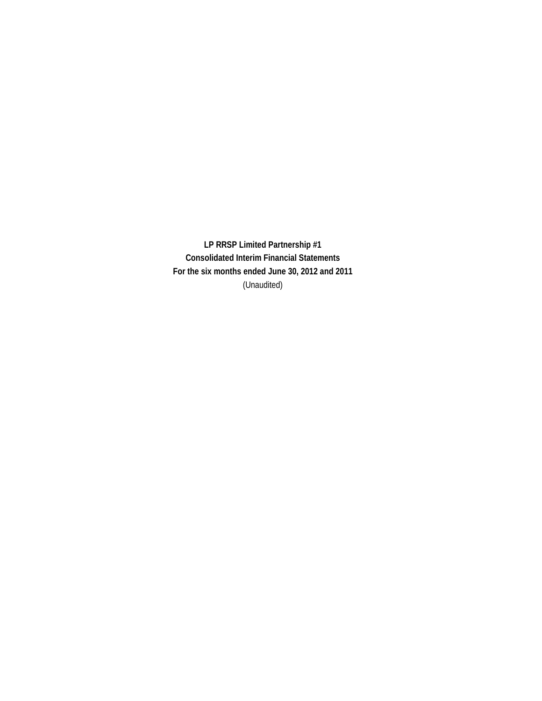**LP RRSP Limited Partnership #1 Consolidated Interim Financial Statements For the six months ended June 30, 2012 and 2011** (Unaudited)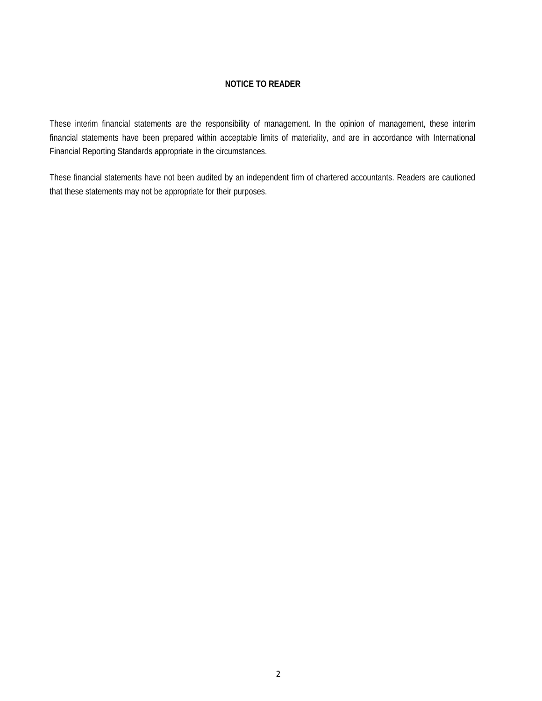#### **NOTICE TO READER**

These interim financial statements are the responsibility of management. In the opinion of management, these interim financial statements have been prepared within acceptable limits of materiality, and are in accordance with International Financial Reporting Standards appropriate in the circumstances.

These financial statements have not been audited by an independent firm of chartered accountants. Readers are cautioned that these statements may not be appropriate for their purposes.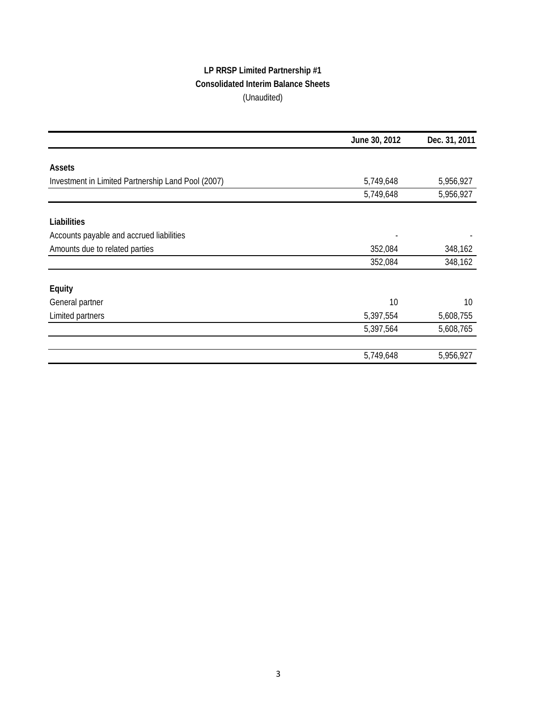# **LP RRSP Limited Partnership #1 Consolidated Interim Balance Sheets** (Unaudited)

|                                                    | June 30, 2012 | Dec. 31, 2011 |
|----------------------------------------------------|---------------|---------------|
|                                                    |               |               |
| Assets                                             |               |               |
| Investment in Limited Partnership Land Pool (2007) | 5,749,648     | 5,956,927     |
|                                                    | 5,749,648     | 5,956,927     |
| Liabilities                                        |               |               |
| Accounts payable and accrued liabilities           |               |               |
| Amounts due to related parties                     | 352,084       | 348,162       |
|                                                    | 352,084       | 348,162       |
| Equity                                             |               |               |
| General partner                                    | 10            | 10            |
| Limited partners                                   | 5,397,554     | 5,608,755     |
|                                                    | 5,397,564     | 5,608,765     |
|                                                    |               |               |
|                                                    | 5,749,648     | 5,956,927     |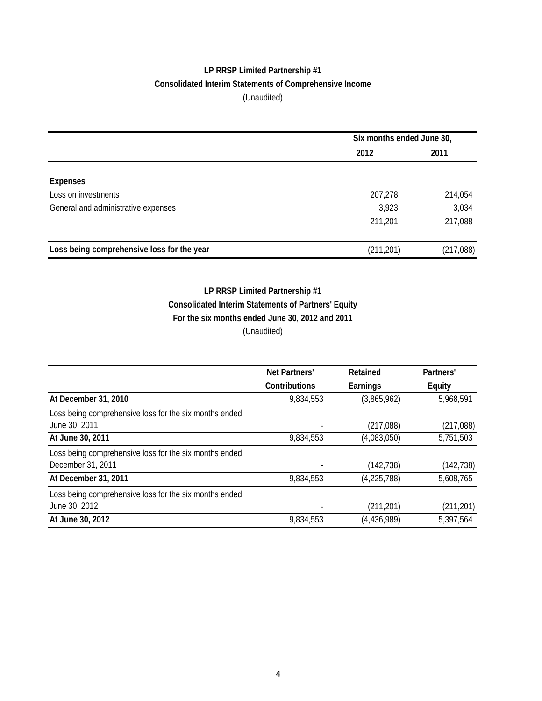## **LP RRSP Limited Partnership #1 Consolidated Interim Statements of Comprehensive Income** (Unaudited)

|                                            | Six months ended June 30, |           |  |
|--------------------------------------------|---------------------------|-----------|--|
|                                            | 2012                      | 2011      |  |
|                                            |                           |           |  |
| <b>Expenses</b>                            |                           |           |  |
| Loss on investments                        | 207,278                   | 214,054   |  |
| General and administrative expenses        | 3,923                     | 3,034     |  |
|                                            | 211,201                   | 217,088   |  |
| Loss being comprehensive loss for the year | (211, 201)                | (217,088) |  |

## **Consolidated Interim Statements of Partners' Equity For the six months ended June 30, 2012 and 2011** (Unaudited) **LP RRSP Limited Partnership #1**

|                                                                             | Net Partners' | Retained      | Partners'     |  |
|-----------------------------------------------------------------------------|---------------|---------------|---------------|--|
|                                                                             | Contributions | Earnings      | <b>Equity</b> |  |
| At December 31, 2010                                                        | 9,834,553     | (3,865,962)   | 5,968,591     |  |
| Loss being comprehensive loss for the six months ended<br>June 30, 2011     |               | (217,088)     | (217,088)     |  |
| At June 30, 2011                                                            | 9,834,553     | (4,083,050)   | 5,751,503     |  |
| Loss being comprehensive loss for the six months ended<br>December 31, 2011 |               | (142, 738)    | (142, 738)    |  |
| At December 31, 2011                                                        | 9,834,553     | (4, 225, 788) | 5,608,765     |  |
| Loss being comprehensive loss for the six months ended<br>June 30, 2012     |               | (211, 201)    | (211, 201)    |  |
| At June 30, 2012                                                            | 9,834,553     | (4,436,989)   | 5,397,564     |  |